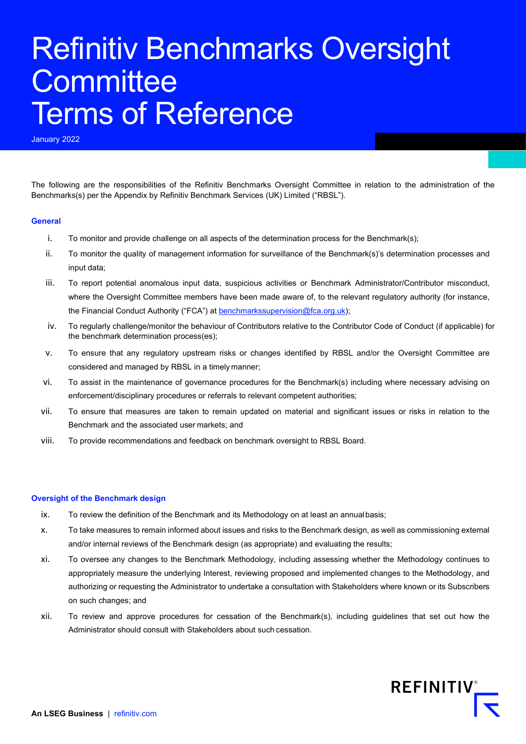# Refinitiv Benchmarks Oversight **Committee** Terms of Reference

January 2022

The following are the responsibilities of the Refinitiv Benchmarks Oversight Committee in relation to the administration of the Benchmarks(s) per the Appendix by Refinitiv Benchmark Services (UK) Limited ("RBSL").

#### **General**

- i. To monitor and provide challenge on all aspects of the determination process for the Benchmark(s);
- ii. To monitor the quality of management information for surveillance of the Benchmark(s)'s determination processes and input data;
- iii. To report potential anomalous input data, suspicious activities or Benchmark Administrator/Contributor misconduct, where the Oversight Committee members have been made aware of, to the relevant regulatory authority (for instance, the Financial Conduct Authority ("FCA") at **benchmarkssupervision@fca.org.uk**);
- iv. To regularly challenge/monitor the behaviour of Contributors relative to the Contributor Code of Conduct (if applicable) for the benchmark determination process(es);
- v. To ensure that any regulatory upstream risks or changes identified by RBSL and/or the Oversight Committee are considered and managed by RBSL in a timely manner;
- vi. To assist in the maintenance of governance procedures for the Benchmark(s) including where necessary advising on enforcement/disciplinary procedures or referrals to relevant competent authorities;
- vii. To ensure that measures are taken to remain updated on material and significant issues or risks in relation to the Benchmark and the associated user markets; and
- viii. To provide recommendations and feedback on benchmark oversight to RBSL Board.

### **Oversight of the Benchmark design**

- ix. To review the definition of the Benchmark and its Methodology on at least an annualbasis;
- x. To take measures to remain informed about issues and risks to the Benchmark design, as well as commissioning external and/or internal reviews of the Benchmark design (as appropriate) and evaluating the results;
- xi. To oversee any changes to the Benchmark Methodology, including assessing whether the Methodology continues to appropriately measure the underlying Interest, reviewing proposed and implemented changes to the Methodology, and authorizing or requesting the Administrator to undertake a consultation with Stakeholders where known or its Subscribers on such changes; and
- xii. To review and approve procedures for cessation of the Benchmark(s), including guidelines that set out how the Administrator should consult with Stakeholders about such cessation.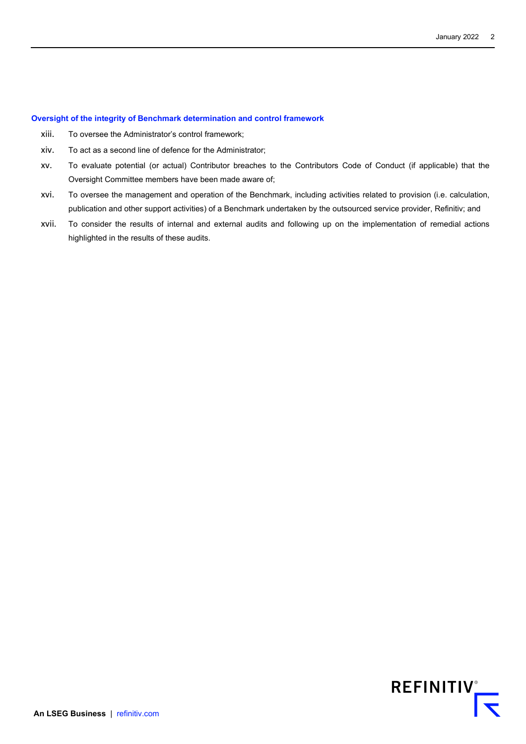#### **Oversight of the integrity of Benchmark determination and control framework**

- xiii. To oversee the Administrator's control framework;
- xiv. To act as a second line of defence for the Administrator;
- xv. To evaluate potential (or actual) Contributor breaches to the Contributors Code of Conduct (if applicable) that the Oversight Committee members have been made aware of;
- xvi. To oversee the management and operation of the Benchmark, including activities related to provision (i.e. calculation, publication and other support activities) of a Benchmark undertaken by the outsourced service provider, Refinitiv; and
- xvii. To consider the results of internal and external audits and following up on the implementation of remedial actions highlighted in the results of these audits.